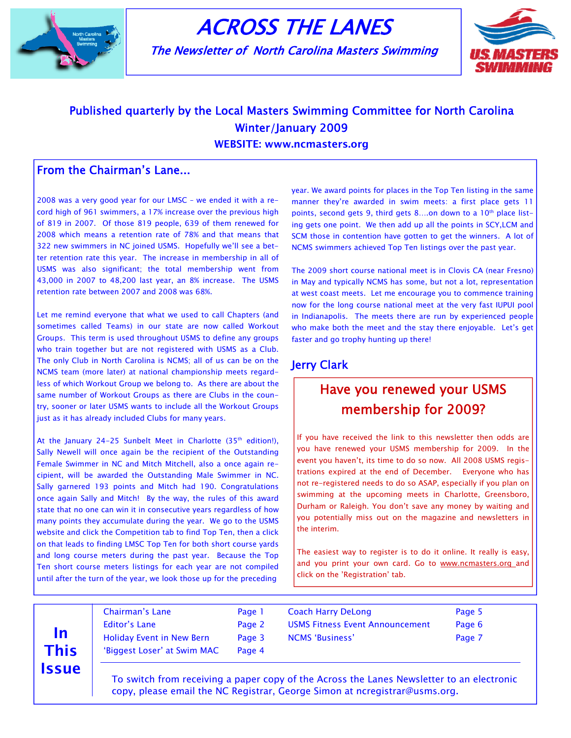

# ACROSS THE LANES

The Newsletter of North Carolina Masters Swimming



## Published quarterly by the Local Masters Swimming Committee for North Carolina Winter/January 2009

WEBSITE: www.ncmasters.org

#### From the Chairman's Lane...

2008 was a very good year for our LMSC – we ended it with a record high of 961 swimmers, a 17% increase over the previous high of 819 in 2007. Of those 819 people, 639 of them renewed for 2008 which means a retention rate of 78% and that means that 322 new swimmers in NC joined USMS. Hopefully we'll see a better retention rate this year. The increase in membership in all of USMS was also significant; the total membership went from 43,000 in 2007 to 48,200 last year, an 8% increase. The USMS retention rate between 2007 and 2008 was 68%.

Let me remind everyone that what we used to call Chapters (and sometimes called Teams) in our state are now called Workout Groups. This term is used throughout USMS to define any groups who train together but are not registered with USMS as a Club. The only Club in North Carolina is NCMS; all of us can be on the NCMS team (more later) at national championship meets regardless of which Workout Group we belong to. As there are about the same number of Workout Groups as there are Clubs in the country, sooner or later USMS wants to include all the Workout Groups just as it has already included Clubs for many years.

At the January 24-25 Sunbelt Meet in Charlotte  $(35<sup>th</sup>$  edition!), Sally Newell will once again be the recipient of the Outstanding Female Swimmer in NC and Mitch Mitchell, also a once again recipient, will be awarded the Outstanding Male Swimmer in NC. Sally garnered 193 points and Mitch had 190. Congratulations once again Sally and Mitch! By the way, the rules of this award state that no one can win it in consecutive years regardless of how many points they accumulate during the year. We go to the USMS website and click the Competition tab to find Top Ten, then a click on that leads to finding LMSC Top Ten for both short course yards and long course meters during the past year. Because the Top Ten short course meters listings for each year are not compiled until after the turn of the year, we look those up for the preceding

year. We award points for places in the Top Ten listing in the same manner they're awarded in swim meets: a first place gets 11 points, second gets 9, third gets 8....on down to a  $10<sup>th</sup>$  place listing gets one point. We then add up all the points in SCY,LCM and SCM those in contention have gotten to get the winners. A lot of NCMS swimmers achieved Top Ten listings over the past year.

The 2009 short course national meet is in Clovis CA (near Fresno) in May and typically NCMS has some, but not a lot, representation at west coast meets. Let me encourage you to commence training now for the long course national meet at the very fast IUPUI pool in Indianapolis. The meets there are run by experienced people who make both the meet and the stay there enjoyable. Let's get faster and go trophy hunting up there!

#### Jerry Clark

## Have you renewed your USMS membership for 2009?

If you have received the link to this newsletter then odds are you have renewed your USMS membership for 2009. In the event you haven't, its time to do so now. All 2008 USMS registrations expired at the end of December. Everyone who has not re-registered needs to do so ASAP, especially if you plan on swimming at the upcoming meets in Charlotte, Greensboro, Durham or Raleigh. You don't save any money by waiting and you potentially miss out on the magazine and newsletters in the interim.

The easiest way to register is to do it online. It really is easy, and you print your own card. Go to www.ncmasters.org\_and click on the 'Registration' tab.

# In This **Issue**

| <b>Chairman's Lane</b>           | Page 1 |
|----------------------------------|--------|
| Editor's Lane                    | Page 2 |
| <b>Holiday Event in New Bern</b> | Page 3 |
| 'Biggest Loser' at Swim MAC      | Page 4 |
|                                  |        |

Coach Harry DeLong **Page 5** USMS Fitness Event Announcement Page 6 NCMS 'Business' Page 7

 To switch from receiving a paper copy of the Across the Lanes Newsletter to an electronic copy, please email the NC Registrar, George Simon at ncregistrar@usms.org.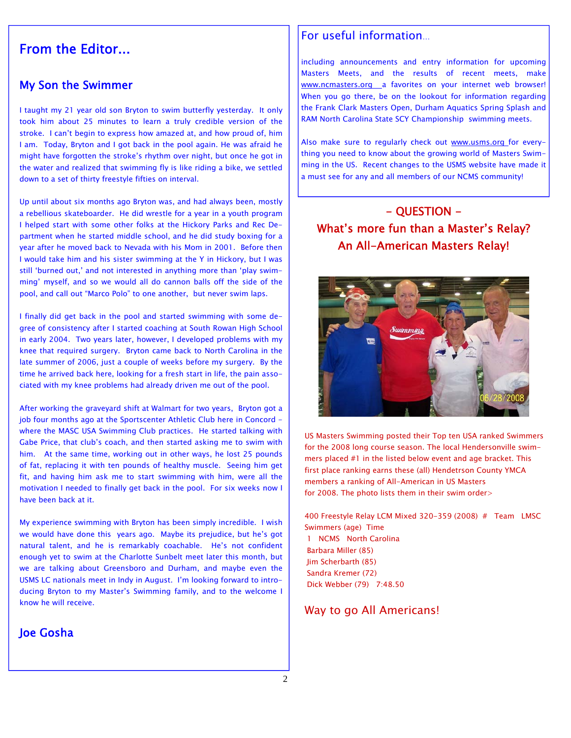## From the Editor...

#### My Son the Swimmer

I taught my 21 year old son Bryton to swim butterfly yesterday. It only took him about 25 minutes to learn a truly credible version of the stroke. I can't begin to express how amazed at, and how proud of, him I am. Today, Bryton and I got back in the pool again. He was afraid he might have forgotten the stroke's rhythm over night, but once he got in the water and realized that swimming fly is like riding a bike, we settled down to a set of thirty freestyle fifties on interval.

Up until about six months ago Bryton was, and had always been, mostly a rebellious skateboarder. He did wrestle for a year in a youth program I helped start with some other folks at the Hickory Parks and Rec Department when he started middle school, and he did study boxing for a year after he moved back to Nevada with his Mom in 2001. Before then I would take him and his sister swimming at the Y in Hickory, but I was still 'burned out,' and not interested in anything more than 'play swimming' myself, and so we would all do cannon balls off the side of the pool, and call out "Marco Polo" to one another, but never swim laps.

I finally did get back in the pool and started swimming with some degree of consistency after I started coaching at South Rowan High School in early 2004. Two years later, however, I developed problems with my knee that required surgery. Bryton came back to North Carolina in the late summer of 2006, just a couple of weeks before my surgery. By the time he arrived back here, looking for a fresh start in life, the pain associated with my knee problems had already driven me out of the pool.

After working the graveyard shift at Walmart for two years, Bryton got a job four months ago at the Sportscenter Athletic Club here in Concord where the MASC USA Swimming Club practices. He started talking with Gabe Price, that club's coach, and then started asking me to swim with him. At the same time, working out in other ways, he lost 25 pounds of fat, replacing it with ten pounds of healthy muscle. Seeing him get fit, and having him ask me to start swimming with him, were all the motivation I needed to finally get back in the pool. For six weeks now I have been back at it.

My experience swimming with Bryton has been simply incredible. I wish we would have done this years ago. Maybe its prejudice, but he's got natural talent, and he is remarkably coachable. He's not confident enough yet to swim at the Charlotte Sunbelt meet later this month, but we are talking about Greensboro and Durham, and maybe even the USMS LC nationals meet in Indy in August. I'm looking forward to introducing Bryton to my Master's Swimming family, and to the welcome I know he will receive.

#### Joe Gosha

#### For useful information…

including announcements and entry information for upcoming Masters Meets, and the results of recent meets, make www.ncmasters.org \_a favorites on your internet web browser! When you go there, be on the lookout for information regarding the Frank Clark Masters Open, Durham Aquatics Spring Splash and RAM North Carolina State SCY Championship swimming meets.

Also make sure to regularly check out www.usms.org for everything you need to know about the growing world of Masters Swimming in the US. Recent changes to the USMS website have made it a must see for any and all members of our NCMS community!

## - QUESTION - What's more fun than a Master's Relay? An All-American Masters Relay!



US Masters Swimming posted their Top ten USA ranked Swimmers for the 2008 long course season. The local Hendersonville swimmers placed #1 in the listed below event and age bracket. This first place ranking earns these (all) Hendetrson County YMCA members a ranking of All-American in US Masters for 2008. The photo lists them in their swim order>

400 Freestyle Relay LCM Mixed 320-359 (2008) # Team LMSC Swimmers (age) Time 1 NCMS North Carolina Barbara Miller (85) Jim Scherbarth (85) Sandra Kremer (72) Dick Webber (79) 7:48.50

#### Way to go All Americans!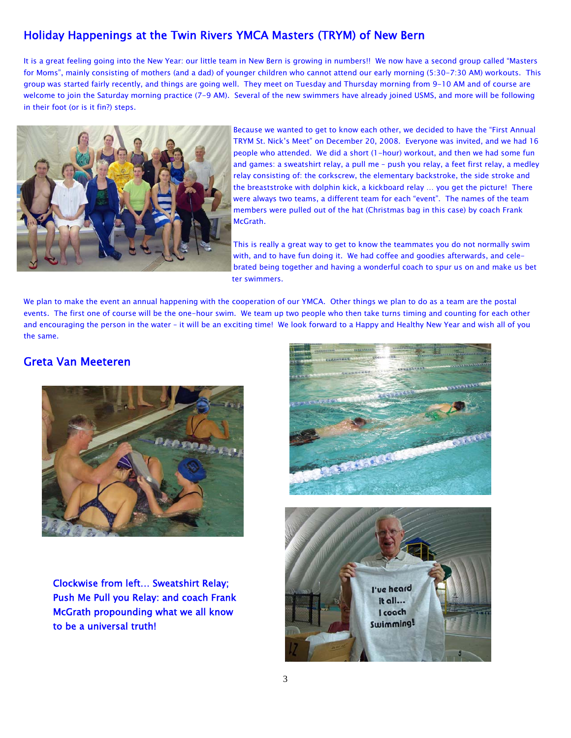#### Holiday Happenings at the Twin Rivers YMCA Masters (TRYM) of New Bern

It is a great feeling going into the New Year: our little team in New Bern is growing in numbers!! We now have a second group called "Masters for Moms", mainly consisting of mothers (and a dad) of younger children who cannot attend our early morning (5:30-7:30 AM) workouts. This group was started fairly recently, and things are going well. They meet on Tuesday and Thursday morning from 9-10 AM and of course are welcome to join the Saturday morning practice (7-9 AM). Several of the new swimmers have already joined USMS, and more will be following in their foot (or is it fin?) steps.



Because we wanted to get to know each other, we decided to have the "First Annual TRYM St. Nick's Meet" on December 20, 2008. Everyone was invited, and we had 16 people who attended. We did a short (1-hour) workout, and then we had some fun and games: a sweatshirt relay, a pull me – push you relay, a feet first relay, a medley relay consisting of: the corkscrew, the elementary backstroke, the side stroke and the breaststroke with dolphin kick, a kickboard relay … you get the picture! There were always two teams, a different team for each "event". The names of the team members were pulled out of the hat (Christmas bag in this case) by coach Frank McGrath.

This is really a great way to get to know the teammates you do not normally swim with, and to have fun doing it. We had coffee and goodies afterwards, and celebrated being together and having a wonderful coach to spur us on and make us bet ter swimmers.

We plan to make the event an annual happening with the cooperation of our YMCA. Other things we plan to do as a team are the postal events. The first one of course will be the one-hour swim. We team up two people who then take turns timing and counting for each other and encouraging the person in the water – it will be an exciting time! We look forward to a Happy and Healthy New Year and wish all of you the same.

#### Greta Van Meeteren



Clockwise from left… Sweatshirt Relay; Push Me Pull you Relay: and coach Frank McGrath propounding what we all know to be a universal truth!



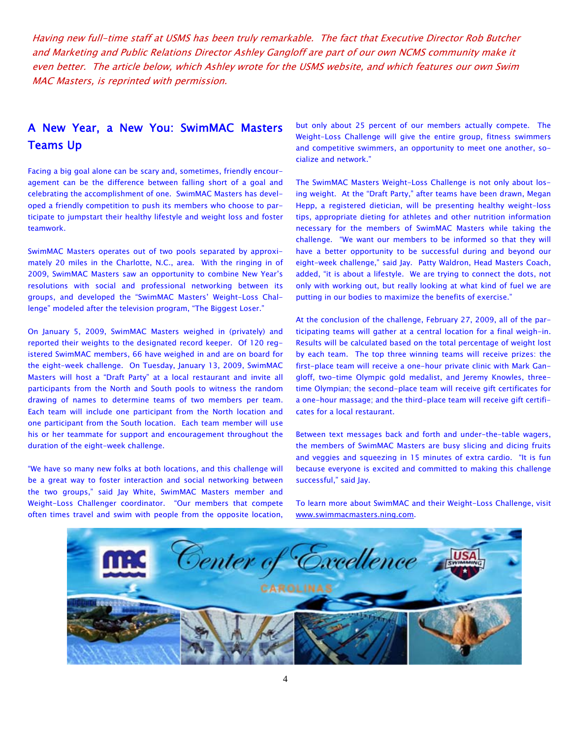Having new full-time staff at USMS has been truly remarkable. The fact that Executive Director Rob Butcher and Marketing and Public Relations Director Ashley Gangloff are part of our own NCMS community make it even better. The article below, which Ashley wrote for the USMS website, and which features our own Swim MAC Masters, is reprinted with permission.

#### A New Year, a New You: SwimMAC Masters Teams Up

Facing a big goal alone can be scary and, sometimes, friendly encouragement can be the difference between falling short of a goal and celebrating the accomplishment of one. SwimMAC Masters has developed a friendly competition to push its members who choose to participate to jumpstart their healthy lifestyle and weight loss and foster teamwork.

SwimMAC Masters operates out of two pools separated by approximately 20 miles in the Charlotte, N.C., area. With the ringing in of 2009, SwimMAC Masters saw an opportunity to combine New Year's resolutions with social and professional networking between its groups, and developed the "SwimMAC Masters' Weight-Loss Challenge" modeled after the television program, "The Biggest Loser."

On January 5, 2009, SwimMAC Masters weighed in (privately) and reported their weights to the designated record keeper. Of 120 registered SwimMAC members, 66 have weighed in and are on board for the eight-week challenge. On Tuesday, January 13, 2009, SwimMAC Masters will host a "Draft Party" at a local restaurant and invite all participants from the North and South pools to witness the random drawing of names to determine teams of two members per team. Each team will include one participant from the North location and one participant from the South location. Each team member will use his or her teammate for support and encouragement throughout the duration of the eight-week challenge.

"We have so many new folks at both locations, and this challenge will be a great way to foster interaction and social networking between the two groups," said Jay White, SwimMAC Masters member and Weight-Loss Challenger coordinator. "Our members that compete often times travel and swim with people from the opposite location,

but only about 25 percent of our members actually compete. The Weight-Loss Challenge will give the entire group, fitness swimmers and competitive swimmers, an opportunity to meet one another, socialize and network."

The SwimMAC Masters Weight-Loss Challenge is not only about losing weight. At the "Draft Party," after teams have been drawn, Megan Hepp, a registered dietician, will be presenting healthy weight-loss tips, appropriate dieting for athletes and other nutrition information necessary for the members of SwimMAC Masters while taking the challenge. "We want our members to be informed so that they will have a better opportunity to be successful during and beyond our eight-week challenge," said Jay. Patty Waldron, Head Masters Coach, added, "it is about a lifestyle. We are trying to connect the dots, not only with working out, but really looking at what kind of fuel we are putting in our bodies to maximize the benefits of exercise."

At the conclusion of the challenge, February 27, 2009, all of the participating teams will gather at a central location for a final weigh-in. Results will be calculated based on the total percentage of weight lost by each team. The top three winning teams will receive prizes: the first-place team will receive a one-hour private clinic with Mark Gangloff, two-time Olympic gold medalist, and Jeremy Knowles, threetime Olympian; the second-place team will receive gift certificates for a one-hour massage; and the third-place team will receive gift certificates for a local restaurant.

Between text messages back and forth and under-the-table wagers, the members of SwimMAC Masters are busy slicing and dicing fruits and veggies and squeezing in 15 minutes of extra cardio. "It is fun because everyone is excited and committed to making this challenge successful," said Jay.

To learn more about SwimMAC and their Weight-Loss Challenge, visit www.swimmacmasters.ning.com.

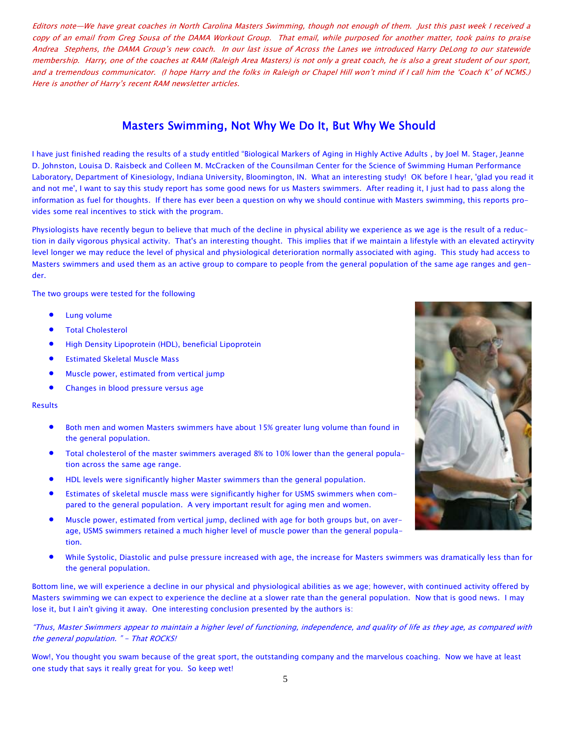Editors note—We have great coaches in North Carolina Masters Swimming, though not enough of them. Just this past week I received a copy of an email from Greg Sousa of the DAMA Workout Group. That email, while purposed for another matter, took pains to praise Andrea Stephens, the DAMA Group's new coach. In our last issue of Across the Lanes we introduced Harry DeLong to our statewide membership. Harry, one of the coaches at RAM (Raleigh Area Masters) is not only a great coach, he is also a great student of our sport, and a tremendous communicator. (I hope Harry and the folks in Raleigh or Chapel Hill won't mind if I call him the 'Coach K' of NCMS.) Here is another of Harry's recent RAM newsletter articles.

#### Masters Swimming, Not Why We Do It, But Why We Should

I have just finished reading the results of a study entitled "Biological Markers of Aging in Highly Active Adults , by Joel M. Stager, Jeanne D. Johnston, Louisa D. Raisbeck and Colleen M. McCracken of the Counsilman Center for the Science of Swimming Human Performance Laboratory, Department of Kinesiology, Indiana University, Bloomington, IN. What an interesting study! OK before I hear, 'glad you read it and not me', I want to say this study report has some good news for us Masters swimmers. After reading it, I just had to pass along the information as fuel for thoughts. If there has ever been a question on why we should continue with Masters swimming, this reports provides some real incentives to stick with the program.

Physiologists have recently begun to believe that much of the decline in physical ability we experience as we age is the result of a reduction in daily vigorous physical activity. That's an interesting thought. This implies that if we maintain a lifestyle with an elevated actiryvity level longer we may reduce the level of physical and physiological deterioration normally associated with aging. This study had access to Masters swimmers and used them as an active group to compare to people from the general population of the same age ranges and gender.

The two groups were tested for the following

- **Lung volume**
- Total Cholesterol
- High Density Lipoprotein (HDL), beneficial Lipoprotein
- Estimated Skeletal Muscle Mass
- Muscle power, estimated from vertical jump
- Changes in blood pressure versus age

#### Results

- Both men and women Masters swimmers have about 15% greater lung volume than found in the general population.
- Total cholesterol of the master swimmers averaged 8% to 10% lower than the general population across the same age range.
- HDL levels were significantly higher Master swimmers than the general population.
- Estimates of skeletal muscle mass were significantly higher for USMS swimmers when compared to the general population. A very important result for aging men and women.
- Muscle power, estimated from vertical jump, declined with age for both groups but, on average, USMS swimmers retained a much higher level of muscle power than the general population.
- While Systolic, Diastolic and pulse pressure increased with age, the increase for Masters swimmers was dramatically less than for the general population.

Bottom line, we will experience a decline in our physical and physiological abilities as we age; however, with continued activity offered by Masters swimming we can expect to experience the decline at a slower rate than the general population. Now that is good news. I may lose it, but I ain't giving it away. One interesting conclusion presented by the authors is:

"Thus, Master Swimmers appear to maintain a higher level of functioning, independence, and quality of life as they age, as compared with the general population. " - That ROCKS!

Wow!, You thought you swam because of the great sport, the outstanding company and the marvelous coaching. Now we have at least one study that says it really great for you. So keep wet!

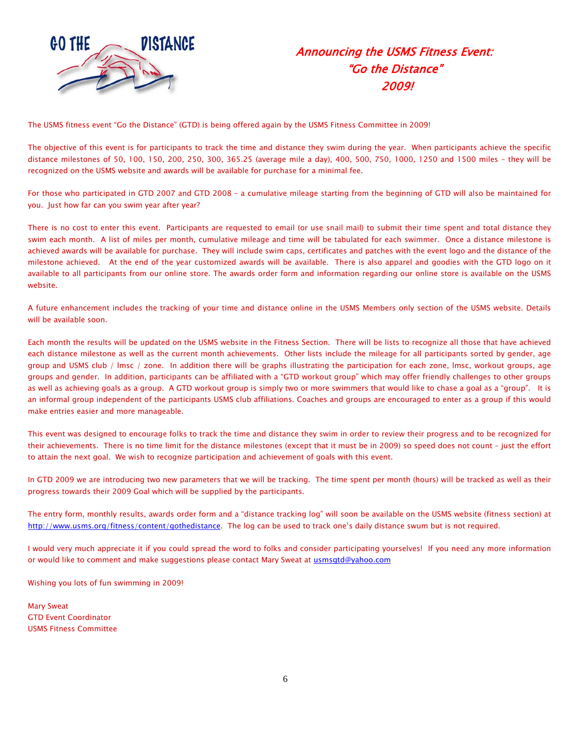

## Announcing the USMS Fitness Event: "Go the Distance" 2009!

The USMS fitness event "Go the Distance" (GTD) is being offered again by the USMS Fitness Committee in 2009!

The objective of this event is for participants to track the time and distance they swim during the year. When participants achieve the specific distance milestones of 50, 100, 150, 200, 250, 300, 365.25 (average mile a day), 400, 500, 750, 1000, 1250 and 1500 miles – they will be recognized on the USMS website and awards will be available for purchase for a minimal fee.

For those who participated in GTD 2007 and GTD 2008 – a cumulative mileage starting from the beginning of GTD will also be maintained for you. Just how far can you swim year after year?

There is no cost to enter this event. Participants are requested to email (or use snail mail) to submit their time spent and total distance they swim each month. A list of miles per month, cumulative mileage and time will be tabulated for each swimmer. Once a distance milestone is achieved awards will be available for purchase. They will include swim caps, certificates and patches with the event logo and the distance of the milestone achieved. At the end of the year customized awards will be available. There is also apparel and goodies with the GTD logo on it available to all participants from our online store. The awards order form and information regarding our online store is available on the USMS website.

A future enhancement includes the tracking of your time and distance online in the USMS Members only section of the USMS website. Details will be available soon.

Each month the results will be updated on the USMS website in the Fitness Section. There will be lists to recognize all those that have achieved each distance milestone as well as the current month achievements. Other lists include the mileage for all participants sorted by gender, age group and USMS club / lmsc / zone. In addition there will be graphs illustrating the participation for each zone, lmsc, workout groups, age groups and gender. In addition, participants can be affiliated with a "GTD workout group" which may offer friendly challenges to other groups as well as achieving goals as a group. A GTD workout group is simply two or more swimmers that would like to chase a goal as a "group". It is an informal group independent of the participants USMS club affiliations. Coaches and groups are encouraged to enter as a group if this would make entries easier and more manageable.

This event was designed to encourage folks to track the time and distance they swim in order to review their progress and to be recognized for their achievements. There is no time limit for the distance milestones (except that it must be in 2009) so speed does not count – just the effort to attain the next goal. We wish to recognize participation and achievement of goals with this event.

In GTD 2009 we are introducing two new parameters that we will be tracking. The time spent per month (hours) will be tracked as well as their progress towards their 2009 Goal which will be supplied by the participants.

The entry form, monthly results, awards order form and a "distance tracking log" will soon be available on the USMS website (fitness section) at http://www.usms.org/fitness/content/gothedistance. The log can be used to track one's daily distance swum but is not required.

I would very much appreciate it if you could spread the word to folks and consider participating yourselves! If you need any more information or would like to comment and make suggestions please contact Mary Sweat at usmsgtd@yahoo.com

Wishing you lots of fun swimming in 2009!

Mary Sweat GTD Event Coordinator USMS Fitness Committee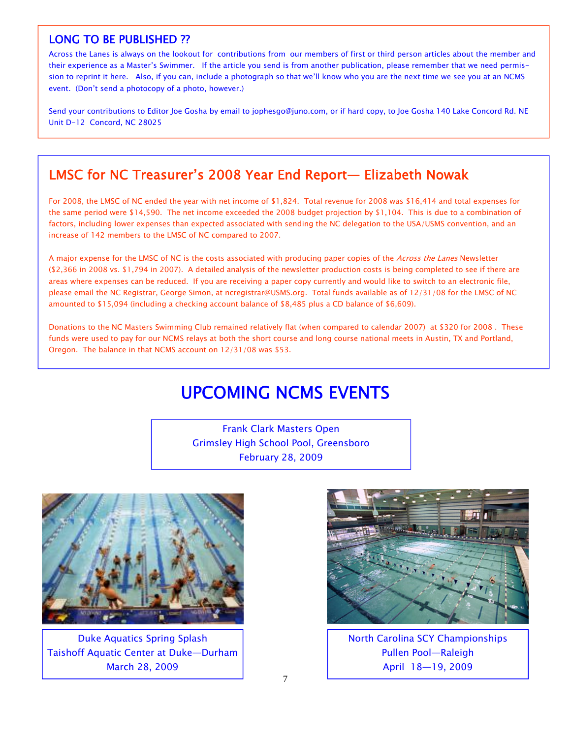#### LONG TO BE PUBLISHED ??

Across the Lanes is always on the lookout for contributions from our members of first or third person articles about the member and their experience as a Master's Swimmer. If the article you send is from another publication, please remember that we need permission to reprint it here. Also, if you can, include a photograph so that we'll know who you are the next time we see you at an NCMS event. (Don't send a photocopy of a photo, however.)

Send your contributions to Editor Joe Gosha by email to jophesgo@juno.com, or if hard copy, to Joe Gosha 140 Lake Concord Rd. NE Unit D-12 Concord, NC 28025

## LMSC for NC Treasurer's 2008 Year End Report— Elizabeth Nowak

For 2008, the LMSC of NC ended the year with net income of \$1,824. Total revenue for 2008 was \$16,414 and total expenses for the same period were \$14,590. The net income exceeded the 2008 budget projection by \$1,104. This is due to a combination of factors, including lower expenses than expected associated with sending the NC delegation to the USA/USMS convention, and an increase of 142 members to the LMSC of NC compared to 2007.

A major expense for the LMSC of NC is the costs associated with producing paper copies of the Across the Lanes Newsletter (\$2,366 in 2008 vs. \$1,794 in 2007). A detailed analysis of the newsletter production costs is being completed to see if there are areas where expenses can be reduced. If you are receiving a paper copy currently and would like to switch to an electronic file, please email the NC Registrar, George Simon, at ncregistrar@USMS.org. Total funds available as of 12/31/08 for the LMSC of NC amounted to \$15,094 (including a checking account balance of \$8,485 plus a CD balance of \$6,609).

Donations to the NC Masters Swimming Club remained relatively flat (when compared to calendar 2007) at \$320 for 2008 . These funds were used to pay for our NCMS relays at both the short course and long course national meets in Austin, TX and Portland, Oregon. The balance in that NCMS account on 12/31/08 was \$53.

# UPCOMING NCMS EVENTS

Frank Clark Masters Open Grimsley High School Pool, Greensboro February 28, 2009



Duke Aquatics Spring Splash Taishoff Aquatic Center at Duke—Durham March 28, 2009



North Carolina SCY Championships Pullen Pool—Raleigh April 18—19, 2009